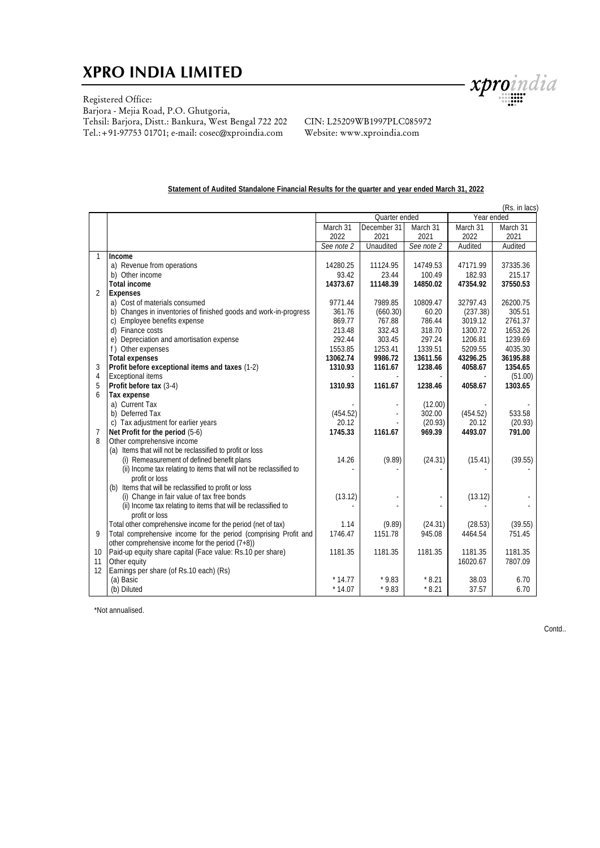## **XPRO INDIA LIMITED**



## Registered Office:

Barjora - Mejia Road, P.O. Ghutgoria, Tehsil: Barjora, Distt.: Bankura, West Bengal 722 202 Tel.:+91-97753 01701; e-mail: cosec@xproindia.com

#### CIN: L25209WB1997PLC085972 Website: www.xproindia.com

#### **Statement of Audited Standalone Financial Results for the quarter and year ended March 31, 2022**

|                | (Rs. in lacs)                                                          |                  |             |                   |                   |                   |
|----------------|------------------------------------------------------------------------|------------------|-------------|-------------------|-------------------|-------------------|
|                |                                                                        | Quarter ended    |             |                   | Year ended        |                   |
|                |                                                                        | March 31         | December 31 | March 31          | March 31          | March 31          |
|                |                                                                        | 2022             | 2021        | 2021              | 2022              | 2021              |
|                |                                                                        | See note 2       | Unaudited   | See note 2        | Audited           | Audited           |
|                | Income                                                                 |                  |             |                   |                   |                   |
|                | a) Revenue from operations                                             | 14280.25         | 11124.95    | 14749.53          | 47171.99          | 37335.36          |
|                | b) Other income                                                        | 93.42            | 23.44       | 100.49            | 182.93            | 215.17            |
|                | Total income                                                           | 14373.67         | 11148.39    | 14850.02          | 47354.92          | 37550.53          |
| $\overline{2}$ | Expenses                                                               |                  |             |                   |                   |                   |
|                | a) Cost of materials consumed                                          | 9771.44          | 7989.85     | 10809.47          | 32797.43          | 26200.75          |
|                | b) Changes in inventories of finished goods and work-in-progress       | 361.76           | (660.30)    | 60.20             | (237.38)          | 305.51            |
|                | c) Employee benefits expense                                           | 869.77           | 767.88      | 786.44            | 3019.12           | 2761.37           |
|                | d) Finance costs                                                       | 213.48           | 332.43      | 318.70            | 1300.72           | 1653.26           |
|                | e) Depreciation and amortisation expense                               | 292.44           | 303.45      | 297.24            | 1206.81           | 1239.69           |
|                | f) Other expenses                                                      | 1553.85          | 1253.41     | 1339.51           | 5209.55           | 4035.30           |
|                | Total expenses                                                         | 13062.74         | 9986.72     | 13611.56          | 43296.25          | 36195.88          |
| 3              | Profit before exceptional items and taxes (1-2)                        | 1310.93          | 1161.67     | 1238.46           | 4058.67           | 1354.65           |
| 4              | Exceptional items                                                      |                  |             |                   |                   | (51.00)           |
| 5              | Profit before tax (3-4)                                                | 1310.93          | 1161.67     | 1238.46           | 4058.67           | 1303.65           |
| 6              | Tax expense                                                            |                  |             |                   |                   |                   |
|                | a) Current Tax<br>b) Deferred Tax                                      |                  |             | (12.00)           |                   |                   |
|                |                                                                        | (454.52)         |             | 302.00            | (454.52)<br>20.12 | 533.58            |
|                | c) Tax adjustment for earlier years<br>Net Profit for the period (5-6) | 20.12<br>1745.33 | 1161.67     | (20.93)<br>969.39 | 4493.07           | (20.93)<br>791.00 |
| 7<br>8         | Other comprehensive income                                             |                  |             |                   |                   |                   |
|                | (a) Items that will not be reclassified to profit or loss              |                  |             |                   |                   |                   |
|                | (i) Remeasurement of defined benefit plans                             | 14.26            | (9.89)      | (24.31)           | (15.41)           | (39.55)           |
|                | (ii) Income tax relating to items that will not be reclassified to     |                  |             |                   |                   |                   |
|                | profit or loss                                                         |                  |             |                   |                   |                   |
|                | (b) Items that will be reclassified to profit or loss                  |                  |             |                   |                   |                   |
|                | (i) Change in fair value of tax free bonds                             | (13.12)          |             |                   | (13.12)           |                   |
|                | (ii) Income tax relating to items that will be reclassified to         |                  |             |                   |                   |                   |
|                | profit or loss                                                         |                  |             |                   |                   |                   |
|                | Total other comprehensive income for the period (net of tax)           | 1.14             | (9.89)      | (24.31)           | (28.53)           | (39.55)           |
| $\mathsf{Q}$   | Total comprehensive income for the period (comprising Profit and       | 1746.47          | 1151.78     | 945.08            | 4464.54           | 751.45            |
|                | other comprehensive income for the period $(7+8)$ )                    |                  |             |                   |                   |                   |
| 10             | Paid-up equity share capital (Face value: Rs.10 per share)             | 1181.35          | 1181.35     | 1181.35           | 1181.35           | 1181.35           |
| 11             | Other equity                                                           |                  |             |                   | 16020.67          | 7807.09           |
| 12             | Earnings per share (of Rs.10 each) (Rs)                                |                  |             |                   |                   |                   |
|                | (a) Basic                                                              | $*14.77$         | $*9.83$     | $*8.21$           | 38.03             | 6.70              |
|                | (b) Diluted                                                            | $*14.07$         | $*9.83$     | $*8.21$           | 37.57             | 6.70              |
|                |                                                                        |                  |             |                   |                   |                   |

\*Not annualised.

Contd..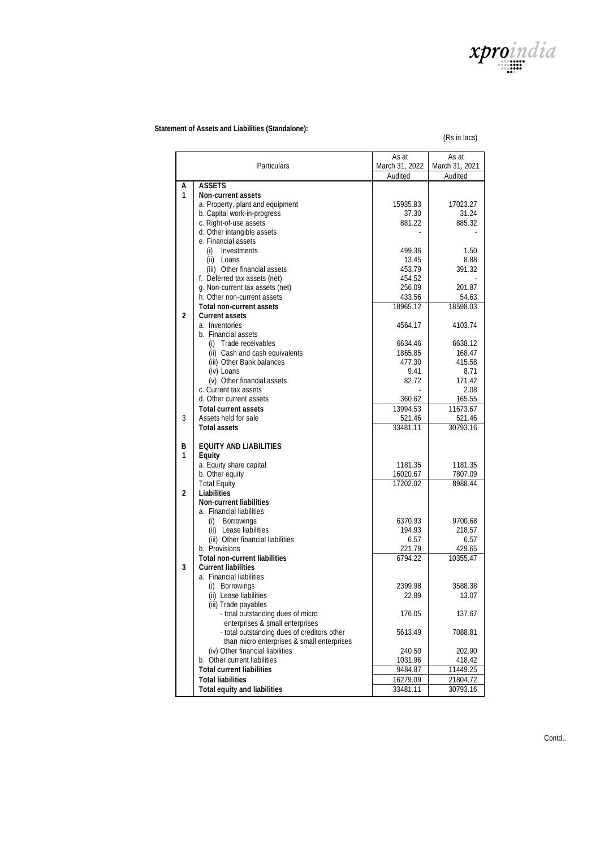

 **Statement of Assets and Liabilities (Standalone):** 

(Rs in lacs)

|                |                                                                  | As at              | As at              |
|----------------|------------------------------------------------------------------|--------------------|--------------------|
| Particulars    |                                                                  | March 31, 2022     | March 31, 2021     |
|                |                                                                  | Audited            | Audited            |
| A              | <b>ASSETS</b>                                                    |                    |                    |
| $\mathbf{1}$   | Non-current assets                                               |                    |                    |
|                | a. Property, plant and equipment                                 | 15935.83           | 17023.27           |
|                | b. Capital work-in-progress<br>c. Right-of-use assets            | 37.30<br>881.22    | 31.24<br>885.32    |
|                | d. Other intangible assets                                       |                    |                    |
|                | e. Financial assets                                              |                    |                    |
|                | Investments<br>(i)                                               | 499.36             | 1.50               |
|                | $(ii)$ Loans                                                     | 13.45              | 8.88               |
|                | (iii) Other financial assets                                     | 453.79             | 391.32             |
|                | f. Deferred tax assets (net)                                     | 454.52             |                    |
|                | g. Non-current tax assets (net)                                  | 256.09             | 201.87             |
|                | h. Other non-current assets                                      | 433.56             | 54.63              |
|                | Total non-current assets                                         | 18965.12           | 18598.03           |
| $\mathfrak{D}$ | Current assets                                                   |                    |                    |
|                | a. Inventories<br>b. Financial assets                            | 4564.17            | 4103.74            |
|                | (i) Trade receivables                                            | 6634.46            | 6638.12            |
|                | (ii) Cash and cash equivalents                                   | 1865.85            | 168.47             |
|                | (iii) Other Bank balances                                        | 477.30             | 415.58             |
|                | (iv) Loans                                                       | 9.41               | 8.71               |
|                | (v) Other financial assets                                       | 82.72              | 171.42             |
|                | c. Current tax assets                                            |                    | 2.08               |
|                | d. Other current assets                                          | 360.62             | 165.55             |
|                | <b>Total current assets</b>                                      | 13994.53           | 11673.67           |
| 3              | Assets held for sale<br>Total assets                             | 521.46<br>33481.11 | 521.46<br>30793.16 |
|                |                                                                  |                    |                    |
| B              | EQUITY AND LIABILITIES                                           |                    |                    |
| 1              | Equity                                                           |                    |                    |
|                | a. Equity share capital                                          | 1181.35            | 1181.35            |
|                | b. Other equity                                                  | 16020.67           | 7807.09            |
| $\mathfrak{D}$ | <b>Total Equity</b><br>Liabilities                               | 17202.02           | 8988.44            |
|                | Non-current liabilities                                          |                    |                    |
|                | a. Financial liabilities                                         |                    |                    |
|                | (i) Borrowings                                                   | 6370.93            | 9700.68            |
|                | (ii) Lease liabilities                                           | 194.93             | 218.57             |
|                | (iii) Other financial liabilities                                | 6.57               | 6.57               |
|                | b. Provisions                                                    | 221.79             | 429.65             |
|                | Total non-current liabilities                                    | 6794.22            | 10355.47           |
| 3              | <b>Current liabilities</b>                                       |                    |                    |
|                | a. Financial liabilities<br>(i) Borrowings                       | 2399.98            | 3588.38            |
|                | (ii) Lease liabilities                                           | 22.89              | 13.07              |
|                | (iii) Trade payables                                             |                    |                    |
|                | - total outstanding dues of micro                                | 176.05             | 137.67             |
|                | enterprises & small enterprises                                  |                    |                    |
|                | - total outstanding dues of creditors other                      | 5613.49            | 7088.81            |
|                | than micro enterprises & small enterprises                       |                    |                    |
|                | (iv) Other financial liabilities<br>b. Other current liabilities | 240.50             | 202.90             |
|                | <b>Total current liabilities</b>                                 | 1031.96<br>9484.87 | 418.42<br>11449.25 |
|                | <b>Total liabilities</b>                                         | 16279.09           | 21804.72           |
|                | Total equity and liabilities                                     | 33481.11           | 30793.16           |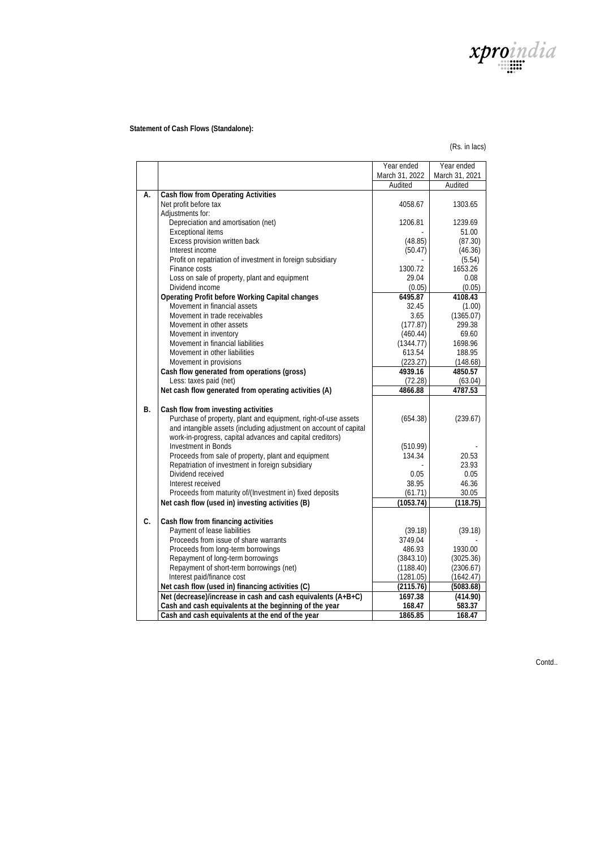

## **Statement of Cash Flows (Standalone):**

#### (Rs. in lacs)

|           |                                                                                                                  | Year ended             | Year ended             |
|-----------|------------------------------------------------------------------------------------------------------------------|------------------------|------------------------|
|           |                                                                                                                  | March 31, 2022         | March 31, 2021         |
|           |                                                                                                                  | Audited                | Audited                |
| А.        | Cash flow from Operating Activities                                                                              |                        |                        |
|           | Net profit before tax                                                                                            | 4058.67                | 1303.65                |
|           | Adjustments for:                                                                                                 |                        |                        |
|           | Depreciation and amortisation (net)                                                                              | 1206.81                | 1239.69                |
|           | Exceptional items                                                                                                |                        | 51.00                  |
|           | Excess provision written back                                                                                    | (48.85)                | (87.30)                |
|           | Interest income                                                                                                  | (50.47)                | (46.36)                |
|           | Profit on repatriation of investment in foreign subsidiary                                                       |                        | (5.54)                 |
|           | Finance costs                                                                                                    | 1300.72                | 1653.26                |
|           | Loss on sale of property, plant and equipment                                                                    | 29.04                  | 0.08                   |
|           | Dividend income                                                                                                  | (0.05)                 | (0.05)                 |
|           | Operating Profit before Working Capital changes                                                                  | 6495.87                | 4108.43                |
|           | Movement in financial assets                                                                                     | 32.45                  | (1.00)                 |
|           | Movement in trade receivables                                                                                    | 3.65                   | (1365.07)              |
|           | Movement in other assets                                                                                         | (177.87)               | 299.38                 |
|           | Movement in inventory                                                                                            | (460.44)               | 69.60                  |
|           | Movement in financial liabilities                                                                                | (1344.77)              | 1698.96                |
|           | Movement in other liabilities                                                                                    | 613.54                 | 188.95                 |
|           | Movement in provisions                                                                                           | (223.27)               | (148.68)               |
|           | Cash flow generated from operations (gross)                                                                      | 4939.16                | 4850.57                |
|           | Less: taxes paid (net)                                                                                           | (72.28)                | (63.04)                |
|           | Net cash flow generated from operating activities (A)                                                            | 4866.88                | 4787.53                |
|           |                                                                                                                  |                        |                        |
| <b>B.</b> | Cash flow from investing activities                                                                              |                        |                        |
|           | Purchase of property, plant and equipment, right-of-use assets                                                   | (654.38)               | (239.67)               |
|           | and intangible assets (including adjustment on account of capital                                                |                        |                        |
|           | work-in-progress, capital advances and capital creditors)                                                        |                        |                        |
|           | Investment in Bonds                                                                                              | (510.99)               |                        |
|           | Proceeds from sale of property, plant and equipment                                                              | 134.34                 | 20.53                  |
|           | Repatriation of investment in foreign subsidiary                                                                 |                        | 23.93                  |
|           | Dividend received                                                                                                | 0.05                   | 0.05                   |
|           | Interest received                                                                                                | 38.95                  | 46.36                  |
|           | Proceeds from maturity of/(Investment in) fixed deposits                                                         | (61.71)                | 30.05                  |
|           | Net cash flow (used in) investing activities (B)                                                                 | (1053.74)              | (118.75)               |
| C.        |                                                                                                                  |                        |                        |
|           | Cash flow from financing activities<br>Payment of lease liabilities                                              |                        |                        |
|           | Proceeds from issue of share warrants                                                                            | (39.18)                | (39.18)                |
|           | Proceeds from long-term borrowings                                                                               | 3749.04                | 1930.00                |
|           |                                                                                                                  | 486.93                 |                        |
|           | Repayment of long-term borrowings<br>Repayment of short-term borrowings (net)                                    | (3843.10)              | (3025.36)              |
|           |                                                                                                                  | (1188.40)              | (2306.67)              |
|           | Interest paid/finance cost                                                                                       | (1281.05)<br>(2115.76) | (1642.47)<br>(5083.68) |
|           | Net cash flow (used in) financing activities (C)<br>Net (decrease)/increase in cash and cash equivalents (A+B+C) | 1697.38                | (414.90)               |
|           |                                                                                                                  |                        | 583.37                 |
|           | Cash and cash equivalents at the beginning of the year                                                           | 168.47                 |                        |
|           | Cash and cash equivalents at the end of the year                                                                 | 1865.85                | 168.47                 |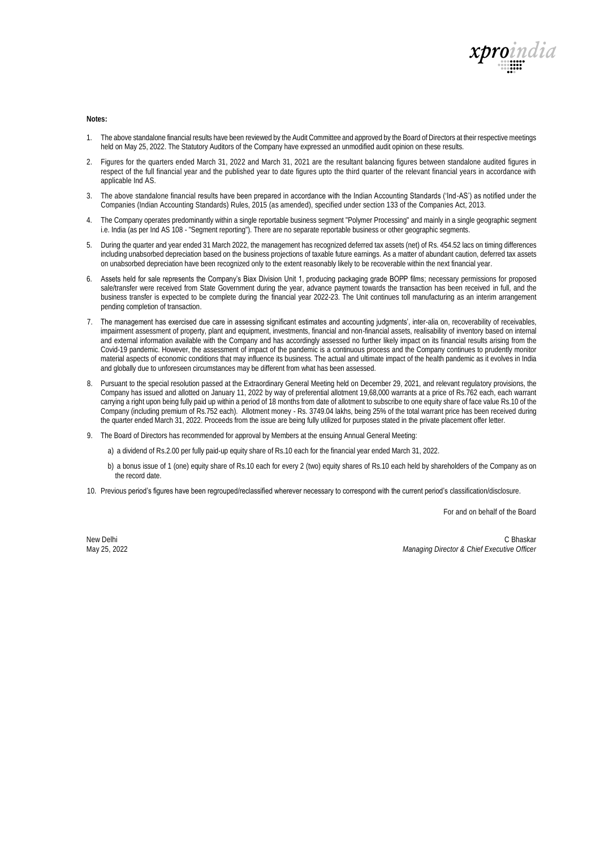

**Notes:** 

- 1. The above standalone financial results have been reviewed by the Audit Committee and approved by the Board of Directors at their respective meetings held on May 25, 2022. The Statutory Auditors of the Company have expressed an unmodified audit opinion on these results.
- 2. Figures for the quarters ended March 31, 2022 and March 31, 2021 are the resultant balancing figures between standalone audited figures in respect of the full financial year and the published year to date figures upto the third quarter of the relevant financial years in accordance with applicable Ind AS.
- 3. The above standalone financial results have been prepared in accordance with the Indian Accounting Standards ('Ind-AS') as notified under the Companies (Indian Accounting Standards) Rules, 2015 (as amended), specified under section 133 of the Companies Act, 2013.
- 4. The Company operates predominantly within a single reportable business segment "Polymer Processing" and mainly in a single geographic segment i.e. India (as per Ind AS 108 - "Segment reporting"). There are no separate reportable business or other geographic segments.
- 5. During the quarter and year ended 31 March 2022, the management has recognized deferred tax assets (net) of Rs. 454.52 lacs on timing differences including unabsorbed depreciation based on the business projections of taxable future earnings. As a matter of abundant caution, deferred tax assets on unabsorbed depreciation have been recognized only to the extent reasonably likely to be recoverable within the next financial year.
- 6. Assets held for sale represents the Company's Biax Division Unit 1, producing packaging grade BOPP films; necessary permissions for proposed sale/transfer were received from State Government during the year, advance payment towards the transaction has been received in full, and the business transfer is expected to be complete during the financial year 2022-23. The Unit continues toll manufacturing as an interim arrangement pending completion of transaction.
- 7. The management has exercised due care in assessing significant estimates and accounting judgments', inter-alia on, recoverability of receivables, impairment assessment of property, plant and equipment, investments, financial and non-financial assets, realisability of inventory based on internal and external information available with the Company and has accordingly assessed no further likely impact on its financial results arising from the Covid-19 pandemic. However, the assessment of impact of the pandemic is a continuous process and the Company continues to prudently monitor material aspects of economic conditions that may influence its business. The actual and ultimate impact of the health pandemic as it evolves in India and globally due to unforeseen circumstances may be different from what has been assessed.
- 8. Pursuant to the special resolution passed at the Extraordinary General Meeting held on December 29, 2021, and relevant regulatory provisions, the Company has issued and allotted on January 11, 2022 by way of preferential allotment 19,68,000 warrants at a price of Rs.762 each, each warrant carrying a right upon being fully paid up within a period of 18 months from date of allotment to subscribe to one equity share of face value Rs.10 of the Company (including premium of Rs.752 each). Allotment money - Rs. 3749.04 lakhs, being 25% of the total warrant price has been received during the quarter ended March 31, 2022. Proceeds from the issue are being fully utilized for purposes stated in the private placement offer letter.
- 9. The Board of Directors has recommended for approval by Members at the ensuing Annual General Meeting:
	- a) a dividend of Rs.2.00 per fully paid-up equity share of Rs.10 each for the financial year ended March 31, 2022.
	- b) a bonus issue of 1 (one) equity share of Rs.10 each for every 2 (two) equity shares of Rs.10 each held by shareholders of the Company as on the record date.
- 10. Previous period's figures have been regrouped/reclassified wherever necessary to correspond with the current period's classification/disclosure.

For and on behalf of the Board

New Delhi May 25, 2022

C Bhaskar *Managing Director & Chief Executive Officer*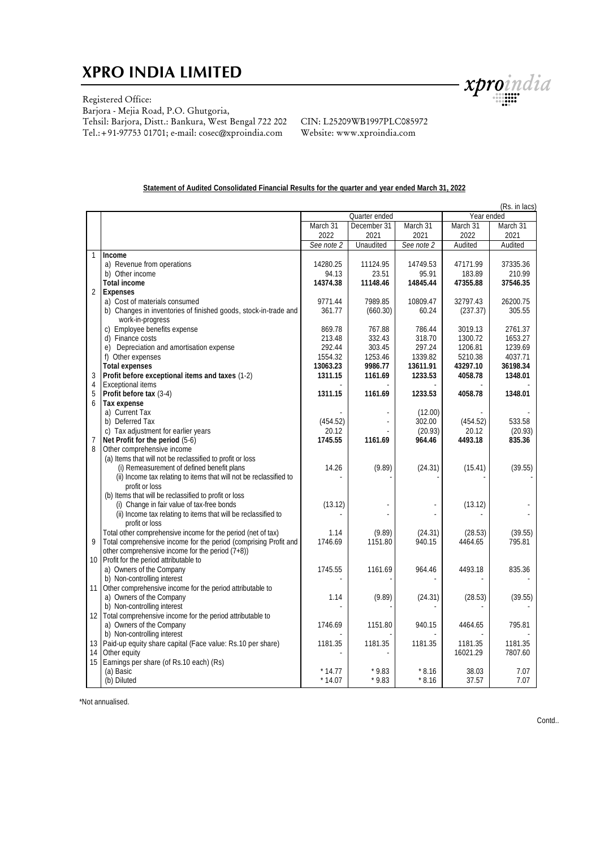# **XPRO INDIA LIMITED**



Registered Office:

Barjora - Mejia Road, P.O. Ghutgoria, Tehsil: Barjora, Distt.: Bankura, West Bengal 722 202 Tel.:+91-97753 01701; e-mail: cosec@xproindia.com

CIN: L25209WB1997PLC085972 Website: www.xproindia.com

#### **Statement of Audited Consolidated Financial Results for the quarter and year ended March 31, 2022**

|                  |                                                                                                     | (Rs. in lacs) |                |            |            |          |  |
|------------------|-----------------------------------------------------------------------------------------------------|---------------|----------------|------------|------------|----------|--|
|                  |                                                                                                     | Quarter ended |                |            | Year ended |          |  |
|                  |                                                                                                     | March 31      | December 31    | March 31   | March 31   | March 31 |  |
|                  |                                                                                                     | 2022          | 2021           | 2021       | 2022       | 2021     |  |
|                  |                                                                                                     | See note 2    | Unaudited      | See note 2 | Audited    | Audited  |  |
|                  | Income                                                                                              |               |                |            |            |          |  |
|                  | a) Revenue from operations                                                                          | 14280.25      | 11124.95       | 14749.53   | 47171.99   | 37335.36 |  |
|                  | b) Other income                                                                                     | 94.13         | 23.51          | 95.91      | 183.89     | 210.99   |  |
|                  | Total income                                                                                        | 14374.38      | 11148.46       | 14845.44   | 47355.88   | 37546.35 |  |
| $\overline{2}$   | Expenses                                                                                            |               |                |            |            |          |  |
|                  | a) Cost of materials consumed                                                                       | 9771.44       | 7989.85        | 10809.47   | 32797.43   | 26200.75 |  |
|                  | b) Changes in inventories of finished goods, stock-in-trade and                                     | 361.77        | (660.30)       | 60.24      | (237.37)   | 305.55   |  |
|                  | work-in-progress<br>c) Employee benefits expense                                                    | 869.78        | 767.88         | 786.44     | 3019.13    | 2761.37  |  |
|                  | d) Finance costs                                                                                    | 213.48        | 332.43         | 318.70     | 1300.72    | 1653.27  |  |
|                  | e) Depreciation and amortisation expense                                                            | 292.44        | 303.45         | 297.24     | 1206.81    | 1239.69  |  |
|                  | f) Other expenses                                                                                   | 1554.32       | 1253.46        | 1339.82    | 5210.38    | 4037.71  |  |
|                  | Total expenses                                                                                      | 13063.23      | 9986.77        | 13611.91   | 43297.10   | 36198.34 |  |
| 3                | Profit before exceptional items and taxes (1-2)                                                     | 1311.15       | 1161.69        | 1233.53    | 4058.78    | 1348.01  |  |
| $\overline{4}$   | <b>Exceptional items</b>                                                                            |               |                |            |            |          |  |
| 5                | Profit before tax (3-4)                                                                             | 1311.15       | 1161.69        | 1233.53    | 4058.78    | 1348.01  |  |
| 6                | Tax expense                                                                                         |               |                |            |            |          |  |
|                  | a) Current Tax                                                                                      |               |                | (12.00)    |            |          |  |
|                  | b) Deferred Tax                                                                                     | (454.52)      | $\overline{a}$ | 302.00     | (454.52)   | 533.58   |  |
|                  | c) Tax adjustment for earlier years                                                                 | 20.12         |                | (20.93)    | 20.12      | (20.93)  |  |
| $\overline{7}$   | Net Profit for the period (5-6)                                                                     | 1745.55       | 1161.69        | 964.46     | 4493.18    | 835.36   |  |
| 8                | Other comprehensive income                                                                          |               |                |            |            |          |  |
|                  | (a) Items that will not be reclassified to profit or loss                                           |               |                |            |            |          |  |
|                  | (i) Remeasurement of defined benefit plans                                                          | 14.26         | (9.89)         | (24.31)    | (15.41)    | (39.55)  |  |
|                  | (ii) Income tax relating to items that will not be reclassified to                                  |               |                |            |            |          |  |
|                  | profit or loss                                                                                      |               |                |            |            |          |  |
|                  | (b) Items that will be reclassified to profit or loss<br>(i) Change in fair value of tax-free bonds | (13.12)       |                |            | (13.12)    |          |  |
|                  | (ii) Income tax relating to items that will be reclassified to                                      |               |                |            |            |          |  |
|                  | profit or loss                                                                                      |               |                |            |            |          |  |
|                  | Total other comprehensive income for the period (net of tax)                                        | 1.14          | (9.89)         | (24.31)    | (28.53)    | (39.55)  |  |
| Q                | Total comprehensive income for the period (comprising Profit and                                    | 1746.69       | 1151.80        | 940.15     | 4464.65    | 795.81   |  |
|                  | other comprehensive income for the period $(7+8)$ )                                                 |               |                |            |            |          |  |
|                  | 10 Profit for the period attributable to                                                            |               |                |            |            |          |  |
|                  | a) Owners of the Company                                                                            | 1745.55       | 1161.69        | 964.46     | 4493.18    | 835.36   |  |
|                  | b) Non-controlling interest                                                                         |               |                |            |            |          |  |
| 11               | Other comprehensive income for the period attributable to                                           |               |                |            |            |          |  |
|                  | a) Owners of the Company                                                                            | 1.14          | (9.89)         | (24.31)    | (28.53)    | (39.55)  |  |
|                  | b) Non-controlling interest                                                                         |               |                |            |            |          |  |
| 12 <sup>1</sup>  | Total comprehensive income for the period attributable to                                           |               |                |            |            |          |  |
|                  | a) Owners of the Company                                                                            | 1746.69       | 1151.80        | 940.15     | 4464.65    | 795.81   |  |
|                  | b) Non-controlling interest                                                                         |               |                |            |            |          |  |
| 13 <sup>1</sup>  | Paid-up equity share capital (Face value: Rs.10 per share)                                          | 1181.35       | 1181.35        | 1181.35    | 1181.35    | 1181.35  |  |
| 14               | Other equity                                                                                        |               |                |            | 16021.29   | 7807.60  |  |
| 15 <sup>15</sup> | Earnings per share (of Rs.10 each) (Rs)<br>(a) Basic                                                | $*14.77$      | $*9.83$        | $*8.16$    | 38.03      | 7.07     |  |
|                  | (b) Diluted                                                                                         | $*14.07$      | $*9.83$        | $*8.16$    | 37.57      | 7.07     |  |
|                  |                                                                                                     |               |                |            |            |          |  |

\*Not annualised.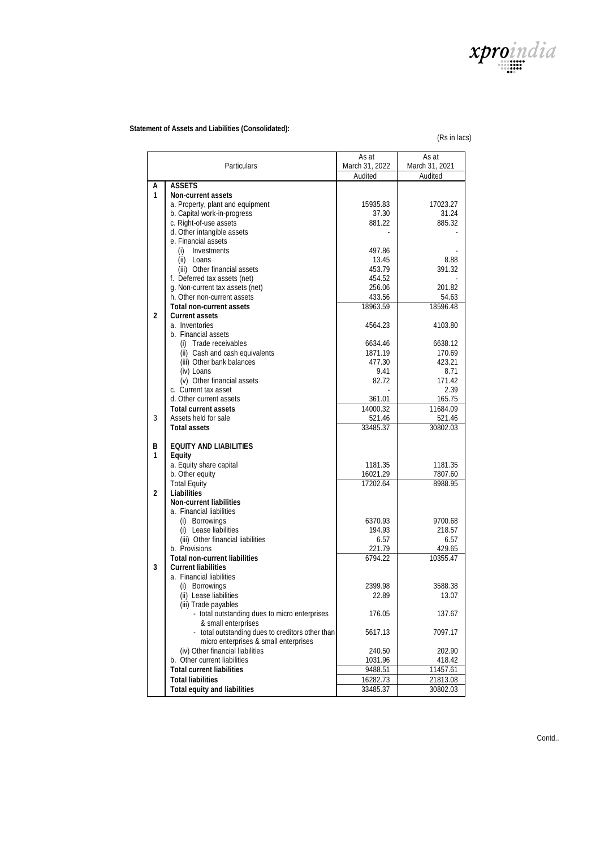

## **Statement of Assets and Liabilities (Consolidated):**

(Rs in lacs)

| Particulars    |                                                                 | As at<br>March 31, 2022 | As at<br>March 31, 2021 |
|----------------|-----------------------------------------------------------------|-------------------------|-------------------------|
|                |                                                                 | Audited                 | Audited                 |
| Α              | <b>ASSETS</b>                                                   |                         |                         |
| 1              | Non-current assets                                              |                         |                         |
|                | a. Property, plant and equipment                                | 15935.83                | 17023.27                |
|                | b. Capital work-in-progress                                     | 37.30                   | 31.24                   |
|                | c. Right-of-use assets                                          | 881.22                  | 885.32                  |
|                | d. Other intangible assets                                      |                         |                         |
|                | e. Financial assets                                             |                         |                         |
|                | Investments<br>(i)                                              | 497.86                  |                         |
|                | (ii) Loans                                                      | 13.45                   | 8.88                    |
|                | (iii) Other financial assets                                    | 453.79                  | 391.32                  |
|                | f. Deferred tax assets (net)<br>g. Non-current tax assets (net) | 454.52<br>256.06        | 201.82                  |
|                | h. Other non-current assets                                     | 433.56                  | 54.63                   |
|                | Total non-current assets                                        | 18963.59                | 18596.48                |
| $\overline{2}$ | Current assets                                                  |                         |                         |
|                | a. Inventories                                                  | 4564.23                 | 4103.80                 |
|                | b. Financial assets                                             |                         |                         |
|                | (i) Trade receivables                                           | 6634.46                 | 6638.12                 |
|                | (ii) Cash and cash equivalents                                  | 1871.19                 | 170.69                  |
|                | (iii) Other bank balances                                       | 477.30                  | 423.21                  |
|                | (iv) Loans                                                      | 9.41                    | 8.71                    |
|                | (v) Other financial assets                                      | 82.72                   | 171.42                  |
|                | c. Current tax asset                                            |                         | 2.39                    |
|                | d. Other current assets                                         | 361.01                  | 165.75                  |
|                | Total current assets                                            | 14000.32                | 11684.09                |
| 3              | Assets held for sale                                            | 521.46                  | 521.46                  |
|                | Total assets                                                    | 33485.37                | 30802.03                |
|                |                                                                 |                         |                         |
| B              | EQUITY AND LIABILITIES                                          |                         |                         |
| 1              | Equity                                                          |                         |                         |
|                | a. Equity share capital                                         | 1181.35                 | 1181.35                 |
|                | b. Other equity                                                 | 16021.29                | 7807.60                 |
| $\overline{2}$ | <b>Total Equity</b><br>Liabilities                              | 17202.64                | 8988.95                 |
|                | Non-current liabilities                                         |                         |                         |
|                | a. Financial liabilities                                        |                         |                         |
|                | (i) Borrowings                                                  | 6370.93                 | 9700.68                 |
|                | (i) Lease liabilities                                           | 194.93                  | 218.57                  |
|                | (iii) Other financial liabilities                               | 6.57                    | 6.57                    |
|                | b. Provisions                                                   | 221.79                  | 429.65                  |
|                | Total non-current liabilities                                   | 6794.22                 | 10355.47                |
| 3              | Current liabilities                                             |                         |                         |
|                | a. Financial liabilities                                        |                         |                         |
|                | (i) Borrowings                                                  | 2399.98                 | 3588.38                 |
|                | (ii) Lease liabilities                                          | 22.89                   | 13.07                   |
|                | (iii) Trade payables                                            |                         |                         |
|                | - total outstanding dues to micro enterprises                   | 176.05                  | 137.67                  |
|                | & small enterprises                                             |                         |                         |
|                | - total outstanding dues to creditors other than                | 5617.13                 | 7097.17                 |
|                | micro enterprises & small enterprises                           |                         |                         |
|                | (iv) Other financial liabilities                                | 240.50                  | 202.90                  |
|                | b. Other current liabilities                                    | 1031.96                 | 418.42                  |
|                | <b>Total current liabilities</b>                                | 9488.51                 | 11457.61                |
|                | <b>Total liabilities</b>                                        | 16282.73                | 21813.08                |
|                | Total equity and liabilities                                    | 33485.37                | 30802.03                |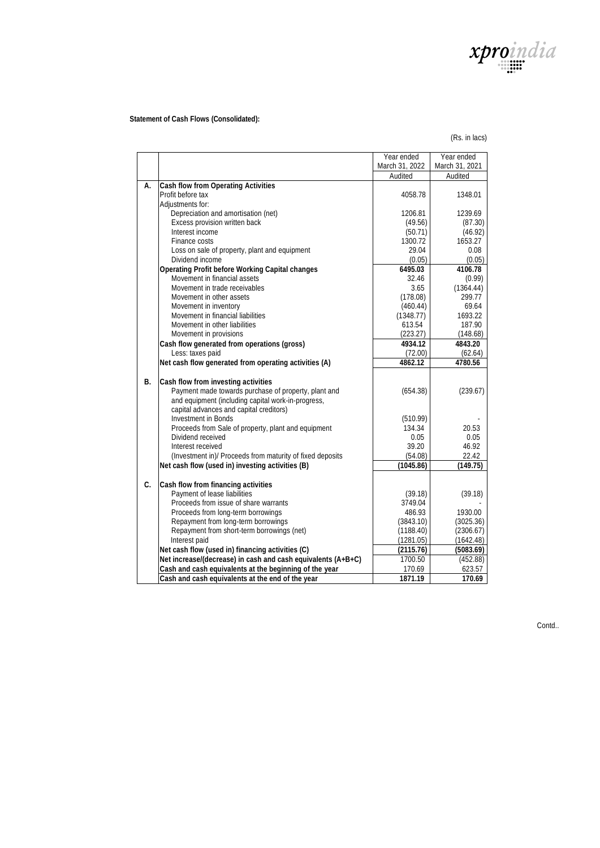

 **Statement of Cash Flows (Consolidated):**

(Rs. in lacs)

|    |                                                                 | Year ended          | Year ended          |
|----|-----------------------------------------------------------------|---------------------|---------------------|
|    |                                                                 | March 31, 2022      | March 31, 2021      |
|    |                                                                 | Audited             | Audited             |
| А. | Cash flow from Operating Activities                             |                     |                     |
|    | Profit before tax                                               | 4058.78             | 1348.01             |
|    | Adjustments for:                                                |                     |                     |
|    | Depreciation and amortisation (net)                             | 1206.81             | 1239.69             |
|    | Excess provision written back                                   | (49.56)             | (87.30)             |
|    | Interest income                                                 | (50.71)             | (46.92)             |
|    | Finance costs                                                   | 1300.72             | 1653.27             |
|    | Loss on sale of property, plant and equipment                   | 29.04               | 0.08                |
|    | Dividend income                                                 | (0.05)              | (0.05)              |
|    | Operating Profit before Working Capital changes                 | 6495.03             | 4106.78             |
|    | Movement in financial assets                                    | 32.46               | (0.99)              |
|    | Movement in trade receivables                                   | 3.65                | (1364.44)           |
|    | Movement in other assets                                        | (178.08)            | 299.77              |
|    | Movement in inventory                                           | (460.44)            | 69.64               |
|    | Movement in financial liabilities                               | (1348.77)           | 1693.22             |
|    | Movement in other liabilities                                   | 613.54              | 187.90              |
|    | Movement in provisions                                          | (223.27)<br>4934.12 | (148.68)<br>4843.20 |
|    | Cash flow generated from operations (gross)<br>Less: taxes paid |                     |                     |
|    | Net cash flow generated from operating activities (A)           | (72.00)<br>4862.12  | (62.64)<br>4780.56  |
|    |                                                                 |                     |                     |
| B. | Cash flow from investing activities                             |                     |                     |
|    | Payment made towards purchase of property, plant and            | (654.38)            | (239.67)            |
|    | and equipment (including capital work-in-progress,              |                     |                     |
|    | capital advances and capital creditors)                         |                     |                     |
|    | Investment in Bonds                                             | (510.99)            |                     |
|    | Proceeds from Sale of property, plant and equipment             | 134.34              | 20.53               |
|    | Dividend received                                               | 0.05                | 0.05                |
|    | Interest received                                               | 39.20               | 46.92               |
|    | (Investment in)/ Proceeds from maturity of fixed deposits       | (54.08)             | 22.42               |
|    | Net cash flow (used in) investing activities (B)                | (1045.86)           | 149.75)             |
|    |                                                                 |                     |                     |
| C. | Cash flow from financing activities                             |                     |                     |
|    | Payment of lease liabilities                                    | (39.18)             | (39.18)             |
|    | Proceeds from issue of share warrants                           | 3749.04             |                     |
|    | Proceeds from long-term borrowings                              | 486.93              | 1930.00             |
|    | Repayment from long-term borrowings                             | (3843.10)           | (3025.36)           |
|    | Repayment from short-term borrowings (net)                      | (1188.40)           | (2306.67)           |
|    | Interest paid                                                   | (1281.05)           | (1642.48)           |
|    | Net cash flow (used in) financing activities (C)                | (2115.76)           | (5083.69)           |
|    | Net increase/(decrease) in cash and cash equivalents (A+B+C)    | 1700.50             | (452.88)            |
|    | Cash and cash equivalents at the beginning of the year          | 170.69              | 623.57              |
|    | Cash and cash equivalents at the end of the year                | 1871.19             | 170.69              |

Contd..